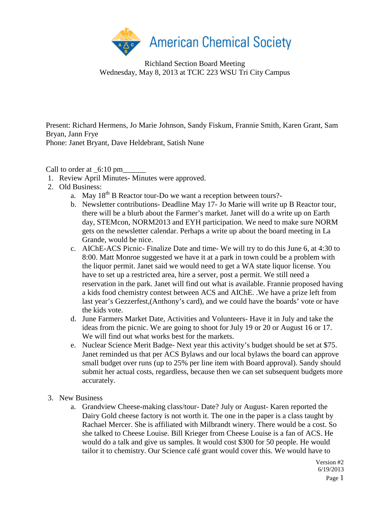

Richland Section Board Meeting Wednesday, May 8, 2013 at TCIC 223 WSU Tri City Campus

Present: Richard Hermens, Jo Marie Johnson, Sandy Fiskum, Frannie Smith, Karen Grant, Sam Bryan, Jann Frye Phone: Janet Bryant, Dave Heldebrant, Satish Nune

Call to order at  $6:10 \text{ pm}$ 

- 1. Review April Minutes- Minutes were approved.
- 2. Old Business:
	- a. May  $18<sup>th</sup>$  B Reactor tour-Do we want a reception between tours?-
	- b. Newsletter contributions- Deadline May 17- Jo Marie will write up B Reactor tour, there will be a blurb about the Farmer's market. Janet will do a write up on Earth day, STEMcon, NORM2013 and EYH participation. We need to make sure NORM gets on the newsletter calendar. Perhaps a write up about the board meeting in La Grande, would be nice.
	- c. AIChE-ACS Picnic- Finalize Date and time- We will try to do this June 6, at 4:30 to 8:00. Matt Monroe suggested we have it at a park in town could be a problem with the liquor permit. Janet said we would need to get a WA state liquor license. You have to set up a restricted area, hire a server, post a permit. We still need a reservation in the park. Janet will find out what is available. Frannie proposed having a kids food chemistry contest between ACS and AIChE. .We have a prize left from last year's Gezzerfest,(Anthony's card), and we could have the boards' vote or have the kids vote.
	- d. June Farmers Market Date, Activities and Volunteers- Have it in July and take the ideas from the picnic. We are going to shoot for July 19 or 20 or August 16 or 17. We will find out what works best for the markets.
	- e. Nuclear Science Merit Badge- Next year this activity's budget should be set at \$75. Janet reminded us that per ACS Bylaws and our local bylaws the board can approve small budget over runs (up to 25% per line item with Board approval). Sandy should submit her actual costs, regardless, because then we can set subsequent budgets more accurately.
- 3. New Business
	- a. Grandview Cheese-making class/tour- Date? July or August- Karen reported the Dairy Gold cheese factory is not worth it. The one in the paper is a class taught by Rachael Mercer. She is affiliated with Milbrandt winery. There would be a cost. So she talked to Cheese Louise. Bill Krieger from Cheese Louise is a fan of ACS. He would do a talk and give us samples. It would cost \$300 for 50 people. He would tailor it to chemistry. Our Science café grant would cover this. We would have to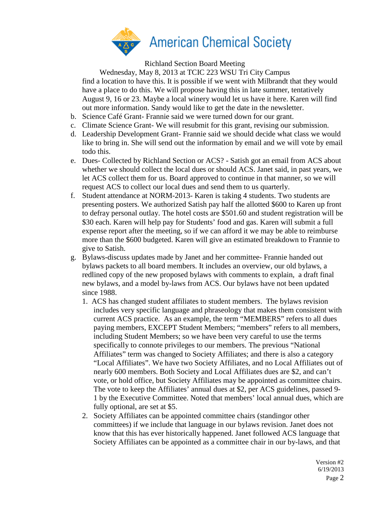

Richland Section Board Meeting

Wednesday, May 8, 2013 at TCIC 223 WSU Tri City Campus

find a location to have this. It is possible if we went with Milbrandt that they would have a place to do this. We will propose having this in late summer, tentatively August 9, 16 or 23. Maybe a local winery would let us have it here. Karen will find out more information. Sandy would like to get the date in the newsletter.

- b. Science Café Grant- Frannie said we were turned down for our grant.
- c. Climate Science Grant- We will resubmit for this grant, revising our submission.
- d. Leadership Development Grant- Frannie said we should decide what class we would like to bring in. She will send out the information by email and we will vote by email todo this.
- e. Dues- Collected by Richland Section or ACS? Satish got an email from ACS about whether we should collect the local dues or should ACS. Janet said, in past years, we let ACS collect them for us. Board approved to continue in that manner, so we will request ACS to collect our local dues and send them to us quarterly.
- f. Student attendance at NORM-2013- Karen is taking 4 students. Two students are presenting posters. We authorized Satish pay half the allotted \$600 to Karen up front to defray personal outlay. The hotel costs are \$501.60 and student registration will be \$30 each. Karen will help pay for Students' food and gas. Karen will submit a full expense report after the meeting, so if we can afford it we may be able to reimburse more than the \$600 budgeted. Karen will give an estimated breakdown to Frannie to give to Satish.
- g. Bylaws-discuss updates made by Janet and her committee- Frannie handed out bylaws packets to all board members. It includes an overview, our old bylaws, a redlined copy of the new proposed bylaws with comments to explain, a draft final new bylaws, and a model by-laws from ACS. Our bylaws have not been updated since 1988.
	- 1. ACS has changed student affiliates to student members. The bylaws revision includes very specific language and phraseology that makes them consistent with current ACS practice. As an example, the term "MEMBERS" refers to all dues paying members, EXCEPT Student Members; "members" refers to all members, including Student Members; so we have been very careful to use the terms specifically to connote privileges to our members. The previous "National Affiliates" term was changed to Society Affiliates; and there is also a category "Local Affiliates". We have two Society Affiliates, and no Local Affiliates out of nearly 600 members. Both Society and Local Affiliates dues are \$2, and can't vote, or hold office, but Society Affiliates may be appointed as committee chairs. The vote to keep the Affiliates' annual dues at \$2, per ACS guidelines, passed 9- 1 by the Executive Committee. Noted that members' local annual dues, which are fully optional, are set at \$5.
	- 2. Society Affiliates can be appointed committee chairs (standingor other committees) if we include that language in our bylaws revision. Janet does not know that this has ever historically happened. Janet followed ACS language that Society Affiliates can be appointed as a committee chair in our by-laws, and that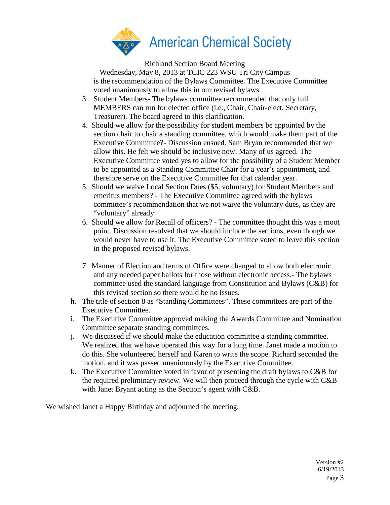

Richland Section Board Meeting

Wednesday, May 8, 2013 at TCIC 223 WSU Tri City Campus is the recommendation of the Bylaws Committee. The Executive Committee voted unanimously to allow this in our revised bylaws.

- 3. Student Members- The bylaws committee recommended that only full MEMBERS can run for elected office (i.e., Chair, Chair-elect, Secretary, Treasurer). The board agreed to this clarification.
- 4. Should we allow for the possibility for student members be appointed by the section chair to chair a standing committee, which would make them part of the Executive Committee?- Discussion ensued. Sam Bryan recommended that we allow this. He felt we should be inclusive now. Many of us agreed. The Executive Committee voted yes to allow for the possibility of a Student Member to be appointed as a Standing Committee Chair for a year's appointment, and therefore serve on the Executive Committee for that calendar year.
- 5. Should we waive Local Section Dues (\$5, voluntary) for Student Members and emeritus members? - The Executive Committee agreed with the bylaws committee's recommendation that we not waive the voluntary dues, as they are "voluntary" already
- 6. Should we allow for Recall of officers? The committee thought this was a moot point. Discussion resolved that we should include the sections, even though we would never have to use it. The Executive Committee voted to leave this section in the proposed revised bylaws.
- 7. Manner of Election and terms of Office were changed to allow both electronic and any needed paper ballots for those without electronic access.- The bylaws committee used the standard language from Constitution and Bylaws (C&B) for this revised section so there would be no issues.
- h. The title of section 8 as "Standing Committees". These committees are part of the Executive Committee.
- i. The Executive Committee approved making the Awards Committee and Nomination Committee separate standing committees.
- j. We discussed if we should make the education committee a standing committee. We realized that we have operated this way for a long time. Janet made a motion to do this. She volunteered herself and Karen to write the scope. Richard seconded the motion, and it was passed unanimously by the Executive Committee.
- k. The Executive Committee voted in favor of presenting the draft bylaws to C&B for the required preliminary review. We will then proceed through the cycle with C&B with Janet Bryant acting as the Section's agent with C&B.

We wished Janet a Happy Birthday and adjourned the meeting.